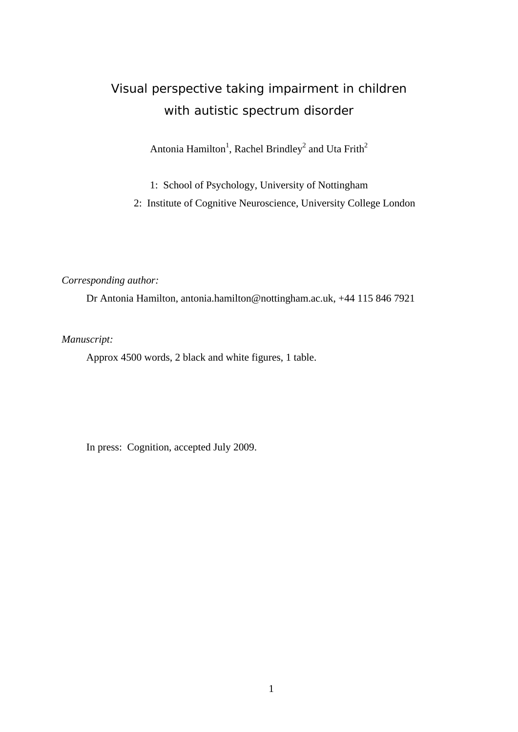# Visual perspective taking impairment in children with autistic spectrum disorder

Antonia Hamilton<sup>1</sup>, Rachel Brindley<sup>2</sup> and Uta Frith<sup>2</sup>

1: School of Psychology, University of Nottingham

2: Institute of Cognitive Neuroscience, University College London

*Corresponding author:* 

Dr Antonia Hamilton, antonia.hamilton@nottingham.ac.uk, +44 115 846 7921

*Manuscript:* 

Approx 4500 words, 2 black and white figures, 1 table.

In press: Cognition, accepted July 2009.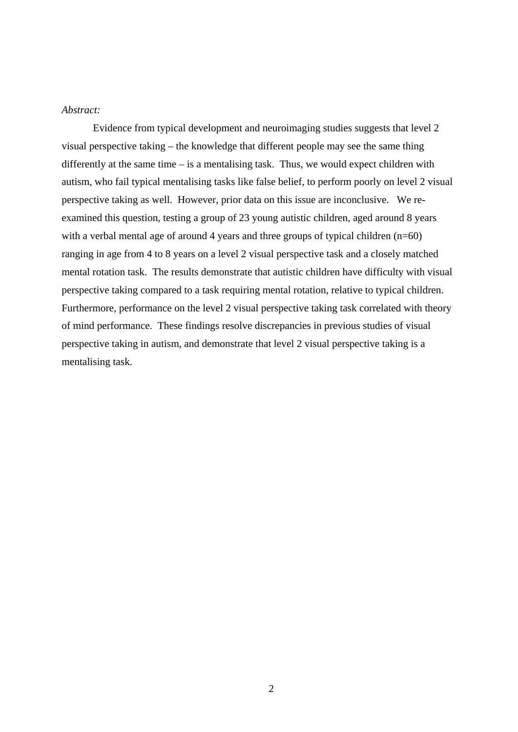#### *Abstract:*

 Evidence from typical development and neuroimaging studies suggests that level 2 visual perspective taking – the knowledge that different people may see the same thing differently at the same time – is a mentalising task. Thus, we would expect children with autism, who fail typical mentalising tasks like false belief, to perform poorly on level 2 visual perspective taking as well. However, prior data on this issue are inconclusive. We reexamined this question, testing a group of 23 young autistic children, aged around 8 years with a verbal mental age of around 4 years and three groups of typical children (n=60) ranging in age from 4 to 8 years on a level 2 visual perspective task and a closely matched mental rotation task. The results demonstrate that autistic children have difficulty with visual perspective taking compared to a task requiring mental rotation, relative to typical children. Furthermore, performance on the level 2 visual perspective taking task correlated with theory of mind performance. These findings resolve discrepancies in previous studies of visual perspective taking in autism, and demonstrate that level 2 visual perspective taking is a mentalising task.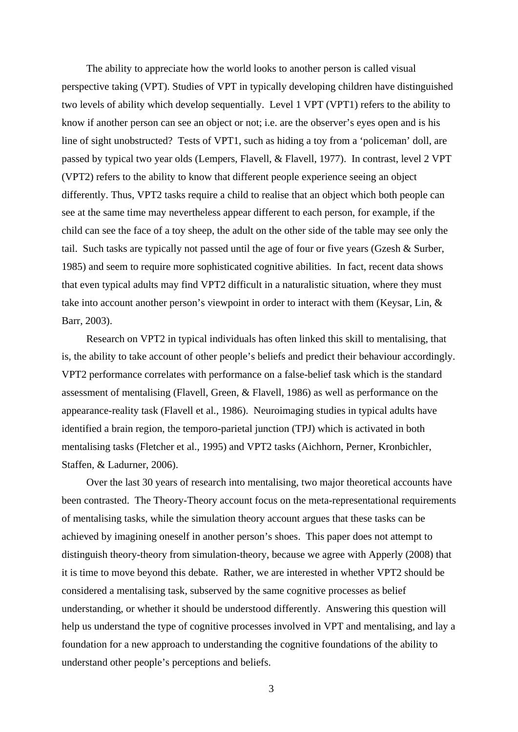The ability to appreciate how the world looks to another person is called visual perspective taking (VPT). Studies of VPT in typically developing children have distinguished two levels of ability which develop sequentially. Level 1 VPT (VPT1) refers to the ability to know if another person can see an object or not; i.e. are the observer's eyes open and is his line of sight unobstructed? Tests of VPT1, such as hiding a toy from a 'policeman' doll, are passed by typical two year olds (Lempers, Flavell, & Flavell, 1977). In contrast, level 2 VPT (VPT2) refers to the ability to know that different people experience seeing an object differently. Thus, VPT2 tasks require a child to realise that an object which both people can see at the same time may nevertheless appear different to each person, for example, if the child can see the face of a toy sheep, the adult on the other side of the table may see only the tail. Such tasks are typically not passed until the age of four or five years (Gzesh & Surber, 1985) and seem to require more sophisticated cognitive abilities. In fact, recent data shows that even typical adults may find VPT2 difficult in a naturalistic situation, where they must take into account another person's viewpoint in order to interact with them (Keysar, Lin, & Barr, 2003).

Research on VPT2 in typical individuals has often linked this skill to mentalising, that is, the ability to take account of other people's beliefs and predict their behaviour accordingly. VPT2 performance correlates with performance on a false-belief task which is the standard assessment of mentalising (Flavell, Green, & Flavell, 1986) as well as performance on the appearance-reality task (Flavell et al., 1986). Neuroimaging studies in typical adults have identified a brain region, the temporo-parietal junction (TPJ) which is activated in both mentalising tasks (Fletcher et al., 1995) and VPT2 tasks (Aichhorn, Perner, Kronbichler, Staffen, & Ladurner, 2006).

Over the last 30 years of research into mentalising, two major theoretical accounts have been contrasted. The Theory-Theory account focus on the meta-representational requirements of mentalising tasks, while the simulation theory account argues that these tasks can be achieved by imagining oneself in another person's shoes. This paper does not attempt to distinguish theory-theory from simulation-theory, because we agree with Apperly (2008) that it is time to move beyond this debate. Rather, we are interested in whether VPT2 should be considered a mentalising task, subserved by the same cognitive processes as belief understanding, or whether it should be understood differently. Answering this question will help us understand the type of cognitive processes involved in VPT and mentalising, and lay a foundation for a new approach to understanding the cognitive foundations of the ability to understand other people's perceptions and beliefs.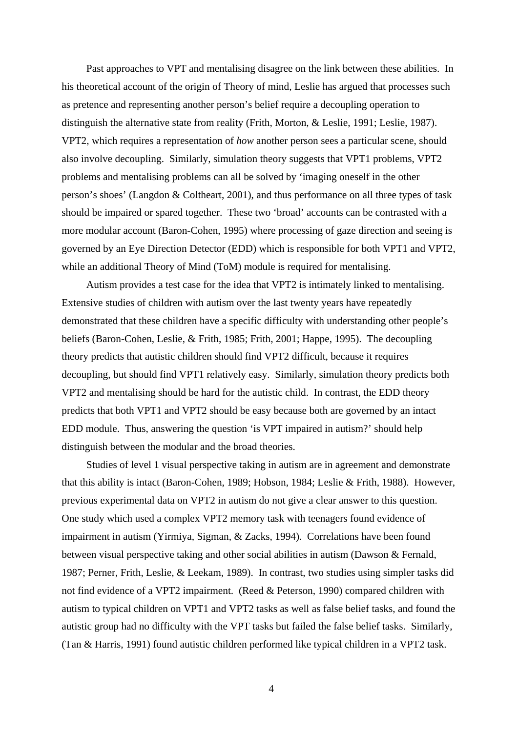Past approaches to VPT and mentalising disagree on the link between these abilities. In his theoretical account of the origin of Theory of mind, Leslie has argued that processes such as pretence and representing another person's belief require a decoupling operation to distinguish the alternative state from reality (Frith, Morton, & Leslie, 1991; Leslie, 1987). VPT2, which requires a representation of *how* another person sees a particular scene, should also involve decoupling. Similarly, simulation theory suggests that VPT1 problems, VPT2 problems and mentalising problems can all be solved by 'imaging oneself in the other person's shoes' (Langdon & Coltheart, 2001), and thus performance on all three types of task should be impaired or spared together. These two 'broad' accounts can be contrasted with a more modular account (Baron-Cohen, 1995) where processing of gaze direction and seeing is governed by an Eye Direction Detector (EDD) which is responsible for both VPT1 and VPT2, while an additional Theory of Mind (ToM) module is required for mentalising.

Autism provides a test case for the idea that VPT2 is intimately linked to mentalising. Extensive studies of children with autism over the last twenty years have repeatedly demonstrated that these children have a specific difficulty with understanding other people's beliefs (Baron-Cohen, Leslie, & Frith, 1985; Frith, 2001; Happe, 1995). The decoupling theory predicts that autistic children should find VPT2 difficult, because it requires decoupling, but should find VPT1 relatively easy. Similarly, simulation theory predicts both VPT2 and mentalising should be hard for the autistic child. In contrast, the EDD theory predicts that both VPT1 and VPT2 should be easy because both are governed by an intact EDD module. Thus, answering the question 'is VPT impaired in autism?' should help distinguish between the modular and the broad theories.

Studies of level 1 visual perspective taking in autism are in agreement and demonstrate that this ability is intact (Baron-Cohen, 1989; Hobson, 1984; Leslie & Frith, 1988). However, previous experimental data on VPT2 in autism do not give a clear answer to this question. One study which used a complex VPT2 memory task with teenagers found evidence of impairment in autism (Yirmiya, Sigman, & Zacks, 1994). Correlations have been found between visual perspective taking and other social abilities in autism (Dawson & Fernald, 1987; Perner, Frith, Leslie, & Leekam, 1989). In contrast, two studies using simpler tasks did not find evidence of a VPT2 impairment. (Reed & Peterson, 1990) compared children with autism to typical children on VPT1 and VPT2 tasks as well as false belief tasks, and found the autistic group had no difficulty with the VPT tasks but failed the false belief tasks. Similarly, (Tan & Harris, 1991) found autistic children performed like typical children in a VPT2 task.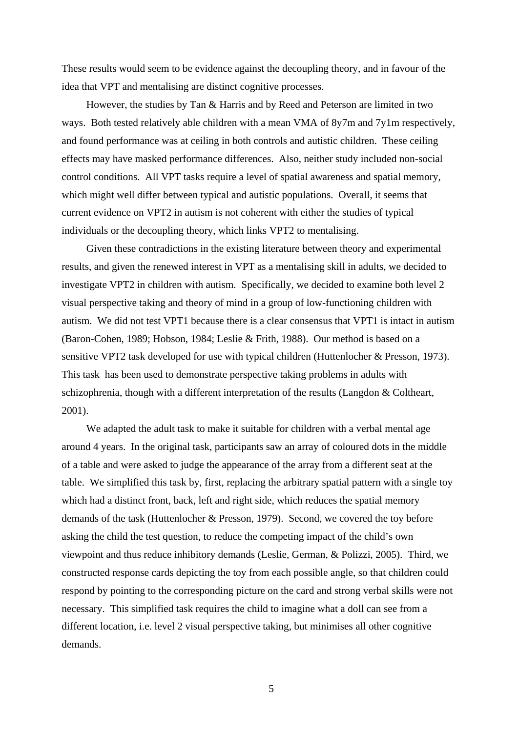These results would seem to be evidence against the decoupling theory, and in favour of the idea that VPT and mentalising are distinct cognitive processes.

However, the studies by Tan & Harris and by Reed and Peterson are limited in two ways. Both tested relatively able children with a mean VMA of 8y7m and 7y1m respectively, and found performance was at ceiling in both controls and autistic children. These ceiling effects may have masked performance differences. Also, neither study included non-social control conditions. All VPT tasks require a level of spatial awareness and spatial memory, which might well differ between typical and autistic populations. Overall, it seems that current evidence on VPT2 in autism is not coherent with either the studies of typical individuals or the decoupling theory, which links VPT2 to mentalising.

Given these contradictions in the existing literature between theory and experimental results, and given the renewed interest in VPT as a mentalising skill in adults, we decided to investigate VPT2 in children with autism. Specifically, we decided to examine both level 2 visual perspective taking and theory of mind in a group of low-functioning children with autism. We did not test VPT1 because there is a clear consensus that VPT1 is intact in autism (Baron-Cohen, 1989; Hobson, 1984; Leslie & Frith, 1988). Our method is based on a sensitive VPT2 task developed for use with typical children (Huttenlocher & Presson, 1973). This task has been used to demonstrate perspective taking problems in adults with schizophrenia, though with a different interpretation of the results (Langdon & Coltheart, 2001).

We adapted the adult task to make it suitable for children with a verbal mental age around 4 years. In the original task, participants saw an array of coloured dots in the middle of a table and were asked to judge the appearance of the array from a different seat at the table. We simplified this task by, first, replacing the arbitrary spatial pattern with a single toy which had a distinct front, back, left and right side, which reduces the spatial memory demands of the task (Huttenlocher & Presson, 1979). Second, we covered the toy before asking the child the test question, to reduce the competing impact of the child's own viewpoint and thus reduce inhibitory demands (Leslie, German, & Polizzi, 2005). Third, we constructed response cards depicting the toy from each possible angle, so that children could respond by pointing to the corresponding picture on the card and strong verbal skills were not necessary. This simplified task requires the child to imagine what a doll can see from a different location, i.e. level 2 visual perspective taking, but minimises all other cognitive demands.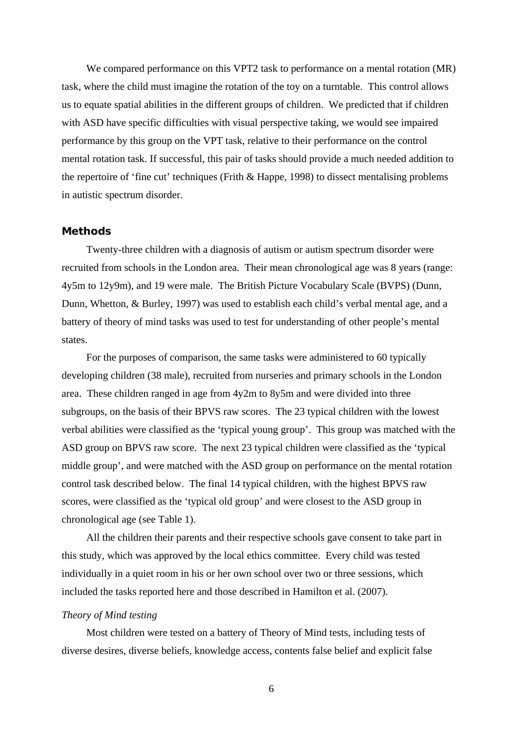We compared performance on this VPT2 task to performance on a mental rotation (MR) task, where the child must imagine the rotation of the toy on a turntable. This control allows us to equate spatial abilities in the different groups of children. We predicted that if children with ASD have specific difficulties with visual perspective taking, we would see impaired performance by this group on the VPT task, relative to their performance on the control mental rotation task. If successful, this pair of tasks should provide a much needed addition to the repertoire of 'fine cut' techniques (Frith & Happe, 1998) to dissect mentalising problems in autistic spectrum disorder.

#### **Methods**

Twenty-three children with a diagnosis of autism or autism spectrum disorder were recruited from schools in the London area. Their mean chronological age was 8 years (range: 4y5m to 12y9m), and 19 were male. The British Picture Vocabulary Scale (BVPS) (Dunn, Dunn, Whetton, & Burley, 1997) was used to establish each child's verbal mental age, and a battery of theory of mind tasks was used to test for understanding of other people's mental states.

For the purposes of comparison, the same tasks were administered to 60 typically developing children (38 male), recruited from nurseries and primary schools in the London area. These children ranged in age from 4y2m to 8y5m and were divided into three subgroups, on the basis of their BPVS raw scores. The 23 typical children with the lowest verbal abilities were classified as the 'typical young group'. This group was matched with the ASD group on BPVS raw score. The next 23 typical children were classified as the 'typical middle group', and were matched with the ASD group on performance on the mental rotation control task described below. The final 14 typical children, with the highest BPVS raw scores, were classified as the 'typical old group' and were closest to the ASD group in chronological age (see Table 1).

All the children their parents and their respective schools gave consent to take part in this study, which was approved by the local ethics committee. Every child was tested individually in a quiet room in his or her own school over two or three sessions, which included the tasks reported here and those described in Hamilton et al. (2007).

#### *Theory of Mind testing*

Most children were tested on a battery of Theory of Mind tests, including tests of diverse desires, diverse beliefs, knowledge access, contents false belief and explicit false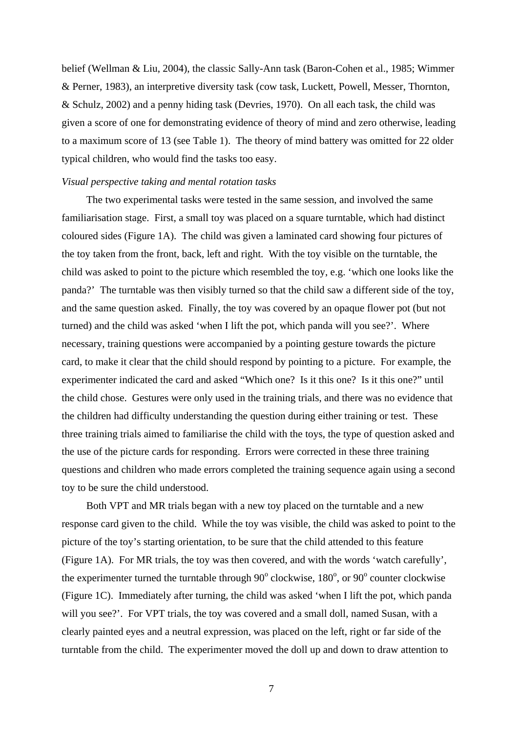belief (Wellman & Liu, 2004), the classic Sally-Ann task (Baron-Cohen et al., 1985; Wimmer & Perner, 1983), an interpretive diversity task (cow task, Luckett, Powell, Messer, Thornton, & Schulz, 2002) and a penny hiding task (Devries, 1970). On all each task, the child was given a score of one for demonstrating evidence of theory of mind and zero otherwise, leading to a maximum score of 13 (see Table 1). The theory of mind battery was omitted for 22 older typical children, who would find the tasks too easy.

#### *Visual perspective taking and mental rotation tasks*

The two experimental tasks were tested in the same session, and involved the same familiarisation stage. First, a small toy was placed on a square turntable, which had distinct coloured sides (Figure 1A). The child was given a laminated card showing four pictures of the toy taken from the front, back, left and right. With the toy visible on the turntable, the child was asked to point to the picture which resembled the toy, e.g. 'which one looks like the panda?' The turntable was then visibly turned so that the child saw a different side of the toy, and the same question asked. Finally, the toy was covered by an opaque flower pot (but not turned) and the child was asked 'when I lift the pot, which panda will you see?'. Where necessary, training questions were accompanied by a pointing gesture towards the picture card, to make it clear that the child should respond by pointing to a picture. For example, the experimenter indicated the card and asked "Which one? Is it this one? Is it this one?" until the child chose. Gestures were only used in the training trials, and there was no evidence that the children had difficulty understanding the question during either training or test. These three training trials aimed to familiarise the child with the toys, the type of question asked and the use of the picture cards for responding. Errors were corrected in these three training questions and children who made errors completed the training sequence again using a second toy to be sure the child understood.

Both VPT and MR trials began with a new toy placed on the turntable and a new response card given to the child. While the toy was visible, the child was asked to point to the picture of the toy's starting orientation, to be sure that the child attended to this feature (Figure 1A). For MR trials, the toy was then covered, and with the words 'watch carefully', the experimenter turned the turntable through  $90^{\circ}$  clockwise,  $180^{\circ}$ , or  $90^{\circ}$  counter clockwise (Figure 1C). Immediately after turning, the child was asked 'when I lift the pot, which panda will you see?'. For VPT trials, the toy was covered and a small doll, named Susan, with a clearly painted eyes and a neutral expression, was placed on the left, right or far side of the turntable from the child. The experimenter moved the doll up and down to draw attention to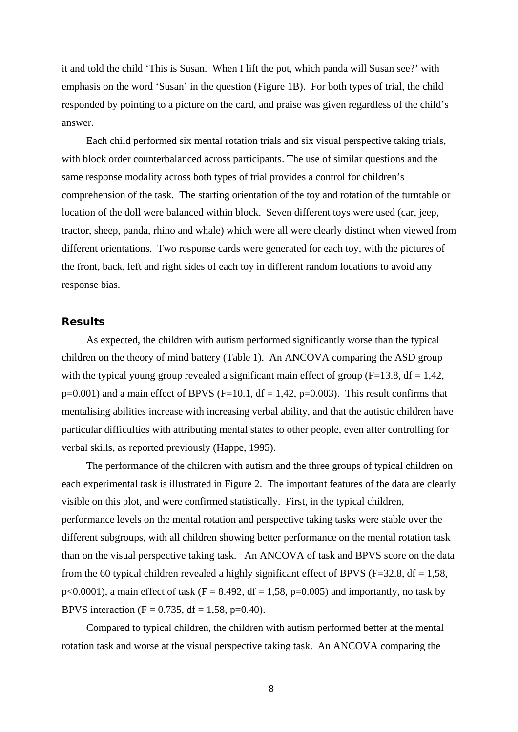it and told the child 'This is Susan. When I lift the pot, which panda will Susan see?' with emphasis on the word 'Susan' in the question (Figure 1B). For both types of trial, the child responded by pointing to a picture on the card, and praise was given regardless of the child's answer.

Each child performed six mental rotation trials and six visual perspective taking trials, with block order counterbalanced across participants. The use of similar questions and the same response modality across both types of trial provides a control for children's comprehension of the task. The starting orientation of the toy and rotation of the turntable or location of the doll were balanced within block. Seven different toys were used (car, jeep, tractor, sheep, panda, rhino and whale) which were all were clearly distinct when viewed from different orientations. Two response cards were generated for each toy, with the pictures of the front, back, left and right sides of each toy in different random locations to avoid any response bias.

## **Results**

As expected, the children with autism performed significantly worse than the typical children on the theory of mind battery (Table 1). An ANCOVA comparing the ASD group with the typical young group revealed a significant main effect of group ( $F=13.8$ ,  $df = 1,42$ ,  $p=0.001$ ) and a main effect of BPVS (F=10.1, df = 1,42, p=0.003). This result confirms that mentalising abilities increase with increasing verbal ability, and that the autistic children have particular difficulties with attributing mental states to other people, even after controlling for verbal skills, as reported previously (Happe, 1995).

The performance of the children with autism and the three groups of typical children on each experimental task is illustrated in Figure 2. The important features of the data are clearly visible on this plot, and were confirmed statistically. First, in the typical children, performance levels on the mental rotation and perspective taking tasks were stable over the different subgroups, with all children showing better performance on the mental rotation task than on the visual perspective taking task. An ANCOVA of task and BPVS score on the data from the 60 typical children revealed a highly significant effect of BPVS ( $F=32.8$ , df = 1,58, p<0.0001), a main effect of task ( $F = 8.492$ ,  $df = 1,58$ , p=0.005) and importantly, no task by BPVS interaction (F = 0.735, df = 1,58, p=0.40).

Compared to typical children, the children with autism performed better at the mental rotation task and worse at the visual perspective taking task. An ANCOVA comparing the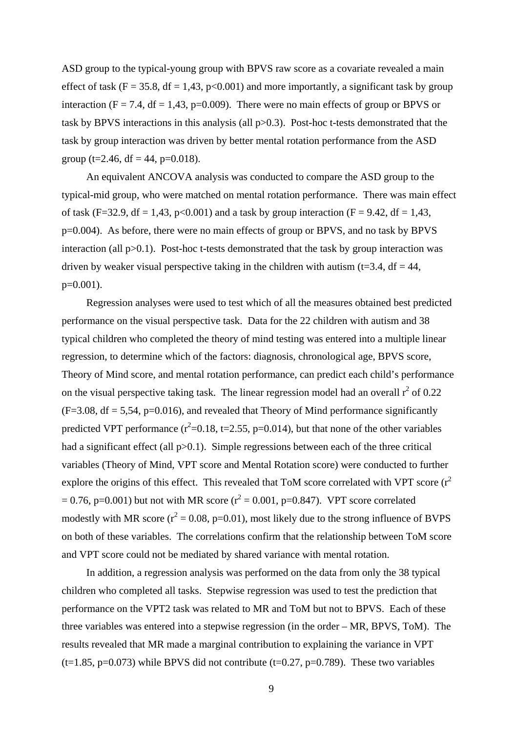ASD group to the typical-young group with BPVS raw score as a covariate revealed a main effect of task ( $F = 35.8$ ,  $df = 1,43$ ,  $p < 0.001$ ) and more importantly, a significant task by group interaction ( $F = 7.4$ ,  $df = 1.43$ ,  $p=0.009$ ). There were no main effects of group or BPVS or task by BPVS interactions in this analysis (all p>0.3). Post-hoc t-tests demonstrated that the task by group interaction was driven by better mental rotation performance from the ASD group (t=2.46, df = 44, p=0.018).

An equivalent ANCOVA analysis was conducted to compare the ASD group to the typical-mid group, who were matched on mental rotation performance. There was main effect of task (F=32.9, df = 1,43, p<0.001) and a task by group interaction (F = 9.42, df = 1,43, p=0.004). As before, there were no main effects of group or BPVS, and no task by BPVS interaction (all  $p>0.1$ ). Post-hoc t-tests demonstrated that the task by group interaction was driven by weaker visual perspective taking in the children with autism ( $t=3.4$ ,  $df = 44$ ,  $p=0.001$ ).

Regression analyses were used to test which of all the measures obtained best predicted performance on the visual perspective task. Data for the 22 children with autism and 38 typical children who completed the theory of mind testing was entered into a multiple linear regression, to determine which of the factors: diagnosis, chronological age, BPVS score, Theory of Mind score, and mental rotation performance, can predict each child's performance on the visual perspective taking task. The linear regression model had an overall  $r^2$  of 0.22  $(F=3.08, df = 5,54, p=0.016)$ , and revealed that Theory of Mind performance significantly predicted VPT performance ( $r^2$ =0.18, t=2.55, p=0.014), but that none of the other variables had a significant effect (all p>0.1). Simple regressions between each of the three critical variables (Theory of Mind, VPT score and Mental Rotation score) were conducted to further explore the origins of this effect. This revealed that ToM score correlated with VPT score  $(r^2)$  $= 0.76$ , p=0.001) but not with MR score ( $r^2 = 0.001$ , p=0.847). VPT score correlated modestly with MR score ( $r^2 = 0.08$ , p=0.01), most likely due to the strong influence of BVPS on both of these variables. The correlations confirm that the relationship between ToM score and VPT score could not be mediated by shared variance with mental rotation.

In addition, a regression analysis was performed on the data from only the 38 typical children who completed all tasks. Stepwise regression was used to test the prediction that performance on the VPT2 task was related to MR and ToM but not to BPVS. Each of these three variables was entered into a stepwise regression (in the order – MR, BPVS, ToM). The results revealed that MR made a marginal contribution to explaining the variance in VPT  $(t=1.85, p=0.073)$  while BPVS did not contribute  $(t=0.27, p=0.789)$ . These two variables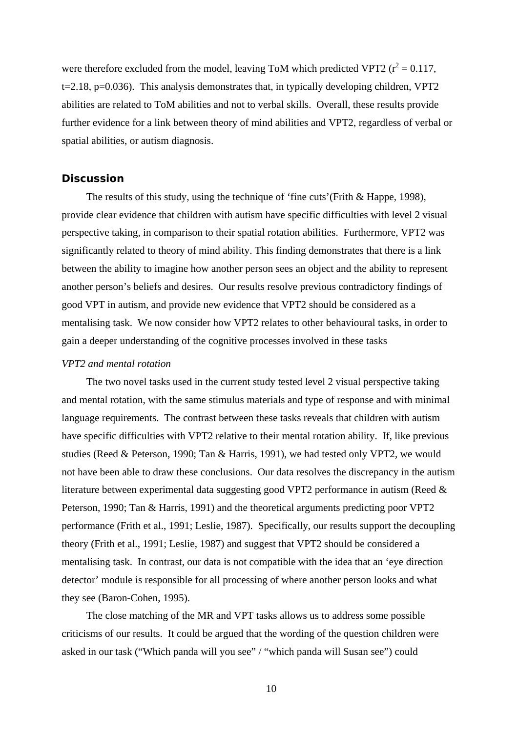were therefore excluded from the model, leaving ToM which predicted VPT2 ( $r^2 = 0.117$ ,  $t=2.18$ ,  $p=0.036$ ). This analysis demonstrates that, in typically developing children, VPT2 abilities are related to ToM abilities and not to verbal skills. Overall, these results provide further evidence for a link between theory of mind abilities and VPT2, regardless of verbal or spatial abilities, or autism diagnosis.

# **Discussion**

The results of this study, using the technique of 'fine cuts'(Frith & Happe, 1998), provide clear evidence that children with autism have specific difficulties with level 2 visual perspective taking, in comparison to their spatial rotation abilities. Furthermore, VPT2 was significantly related to theory of mind ability. This finding demonstrates that there is a link between the ability to imagine how another person sees an object and the ability to represent another person's beliefs and desires. Our results resolve previous contradictory findings of good VPT in autism, and provide new evidence that VPT2 should be considered as a mentalising task. We now consider how VPT2 relates to other behavioural tasks, in order to gain a deeper understanding of the cognitive processes involved in these tasks

#### *VPT2 and mental rotation*

The two novel tasks used in the current study tested level 2 visual perspective taking and mental rotation, with the same stimulus materials and type of response and with minimal language requirements. The contrast between these tasks reveals that children with autism have specific difficulties with VPT2 relative to their mental rotation ability. If, like previous studies (Reed & Peterson, 1990; Tan & Harris, 1991), we had tested only VPT2, we would not have been able to draw these conclusions. Our data resolves the discrepancy in the autism literature between experimental data suggesting good VPT2 performance in autism (Reed & Peterson, 1990; Tan & Harris, 1991) and the theoretical arguments predicting poor VPT2 performance (Frith et al., 1991; Leslie, 1987). Specifically, our results support the decoupling theory (Frith et al., 1991; Leslie, 1987) and suggest that VPT2 should be considered a mentalising task. In contrast, our data is not compatible with the idea that an 'eye direction detector' module is responsible for all processing of where another person looks and what they see (Baron-Cohen, 1995).

The close matching of the MR and VPT tasks allows us to address some possible criticisms of our results. It could be argued that the wording of the question children were asked in our task ("Which panda will you see" / "which panda will Susan see") could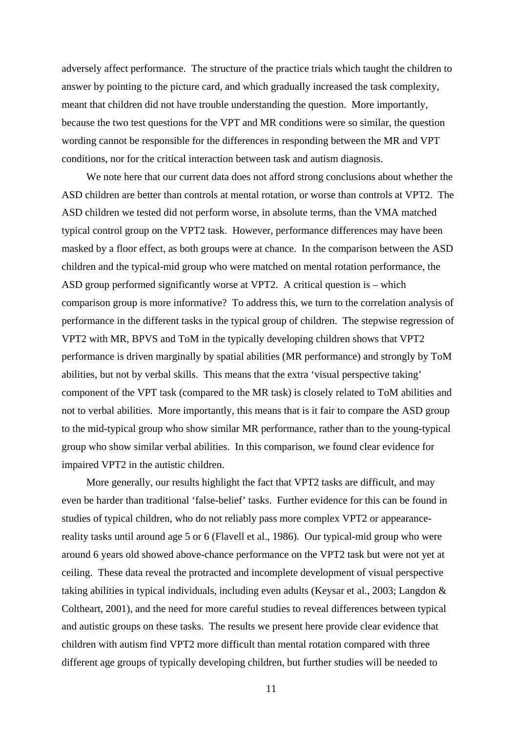adversely affect performance. The structure of the practice trials which taught the children to answer by pointing to the picture card, and which gradually increased the task complexity, meant that children did not have trouble understanding the question. More importantly, because the two test questions for the VPT and MR conditions were so similar, the question wording cannot be responsible for the differences in responding between the MR and VPT conditions, nor for the critical interaction between task and autism diagnosis.

We note here that our current data does not afford strong conclusions about whether the ASD children are better than controls at mental rotation, or worse than controls at VPT2. The ASD children we tested did not perform worse, in absolute terms, than the VMA matched typical control group on the VPT2 task. However, performance differences may have been masked by a floor effect, as both groups were at chance. In the comparison between the ASD children and the typical-mid group who were matched on mental rotation performance, the ASD group performed significantly worse at VPT2. A critical question is – which comparison group is more informative? To address this, we turn to the correlation analysis of performance in the different tasks in the typical group of children. The stepwise regression of VPT2 with MR, BPVS and ToM in the typically developing children shows that VPT2 performance is driven marginally by spatial abilities (MR performance) and strongly by ToM abilities, but not by verbal skills. This means that the extra 'visual perspective taking' component of the VPT task (compared to the MR task) is closely related to ToM abilities and not to verbal abilities. More importantly, this means that is it fair to compare the ASD group to the mid-typical group who show similar MR performance, rather than to the young-typical group who show similar verbal abilities. In this comparison, we found clear evidence for impaired VPT2 in the autistic children.

More generally, our results highlight the fact that VPT2 tasks are difficult, and may even be harder than traditional 'false-belief' tasks. Further evidence for this can be found in studies of typical children, who do not reliably pass more complex VPT2 or appearancereality tasks until around age 5 or 6 (Flavell et al., 1986). Our typical-mid group who were around 6 years old showed above-chance performance on the VPT2 task but were not yet at ceiling. These data reveal the protracted and incomplete development of visual perspective taking abilities in typical individuals, including even adults (Keysar et al., 2003; Langdon & Coltheart, 2001), and the need for more careful studies to reveal differences between typical and autistic groups on these tasks. The results we present here provide clear evidence that children with autism find VPT2 more difficult than mental rotation compared with three different age groups of typically developing children, but further studies will be needed to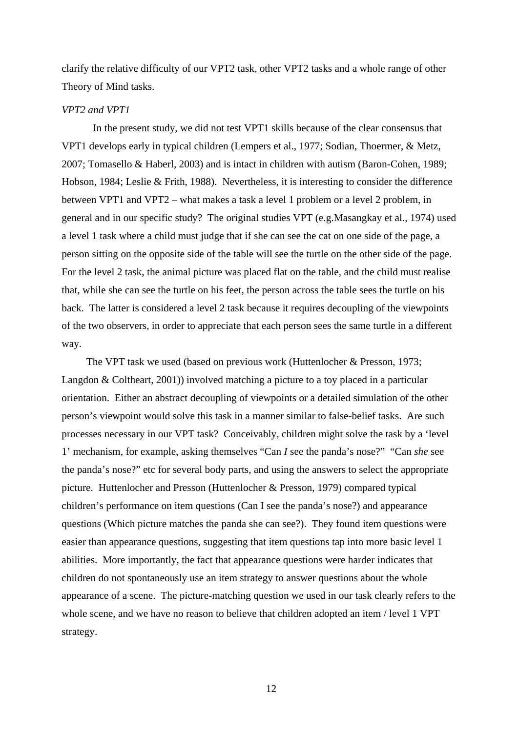clarify the relative difficulty of our VPT2 task, other VPT2 tasks and a whole range of other Theory of Mind tasks.

# *VPT2 and VPT1*

 In the present study, we did not test VPT1 skills because of the clear consensus that VPT1 develops early in typical children (Lempers et al., 1977; Sodian, Thoermer, & Metz, 2007; Tomasello & Haberl, 2003) and is intact in children with autism (Baron-Cohen, 1989; Hobson, 1984; Leslie & Frith, 1988). Nevertheless, it is interesting to consider the difference between VPT1 and VPT2 – what makes a task a level 1 problem or a level 2 problem, in general and in our specific study? The original studies VPT (e.g.Masangkay et al., 1974) used a level 1 task where a child must judge that if she can see the cat on one side of the page, a person sitting on the opposite side of the table will see the turtle on the other side of the page. For the level 2 task, the animal picture was placed flat on the table, and the child must realise that, while she can see the turtle on his feet, the person across the table sees the turtle on his back. The latter is considered a level 2 task because it requires decoupling of the viewpoints of the two observers, in order to appreciate that each person sees the same turtle in a different way.

The VPT task we used (based on previous work (Huttenlocher & Presson, 1973; Langdon & Coltheart, 2001)) involved matching a picture to a toy placed in a particular orientation. Either an abstract decoupling of viewpoints or a detailed simulation of the other person's viewpoint would solve this task in a manner similar to false-belief tasks. Are such processes necessary in our VPT task? Conceivably, children might solve the task by a 'level 1' mechanism, for example, asking themselves "Can *I* see the panda's nose?" "Can *she* see the panda's nose?" etc for several body parts, and using the answers to select the appropriate picture. Huttenlocher and Presson (Huttenlocher & Presson, 1979) compared typical children's performance on item questions (Can I see the panda's nose?) and appearance questions (Which picture matches the panda she can see?). They found item questions were easier than appearance questions, suggesting that item questions tap into more basic level 1 abilities. More importantly, the fact that appearance questions were harder indicates that children do not spontaneously use an item strategy to answer questions about the whole appearance of a scene. The picture-matching question we used in our task clearly refers to the whole scene, and we have no reason to believe that children adopted an item / level 1 VPT strategy.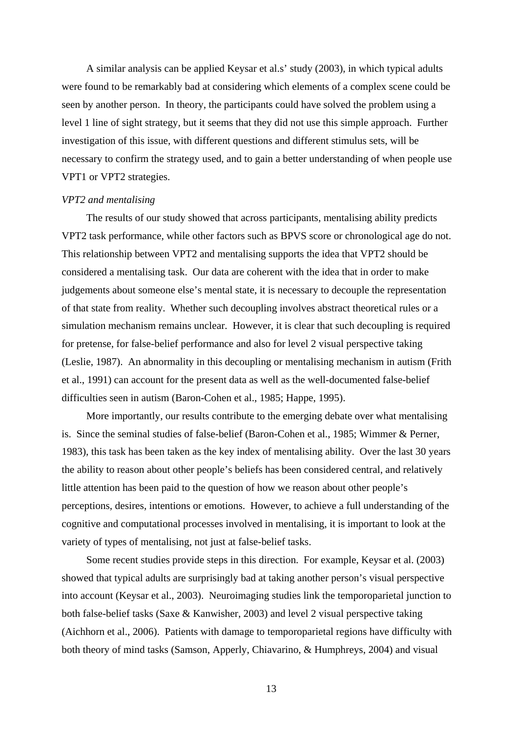A similar analysis can be applied Keysar et al.s' study (2003), in which typical adults were found to be remarkably bad at considering which elements of a complex scene could be seen by another person. In theory, the participants could have solved the problem using a level 1 line of sight strategy, but it seems that they did not use this simple approach. Further investigation of this issue, with different questions and different stimulus sets, will be necessary to confirm the strategy used, and to gain a better understanding of when people use VPT1 or VPT2 strategies.

#### *VPT2 and mentalising*

The results of our study showed that across participants, mentalising ability predicts VPT2 task performance, while other factors such as BPVS score or chronological age do not. This relationship between VPT2 and mentalising supports the idea that VPT2 should be considered a mentalising task. Our data are coherent with the idea that in order to make judgements about someone else's mental state, it is necessary to decouple the representation of that state from reality. Whether such decoupling involves abstract theoretical rules or a simulation mechanism remains unclear. However, it is clear that such decoupling is required for pretense, for false-belief performance and also for level 2 visual perspective taking (Leslie, 1987). An abnormality in this decoupling or mentalising mechanism in autism (Frith et al., 1991) can account for the present data as well as the well-documented false-belief difficulties seen in autism (Baron-Cohen et al., 1985; Happe, 1995).

More importantly, our results contribute to the emerging debate over what mentalising is. Since the seminal studies of false-belief (Baron-Cohen et al., 1985; Wimmer & Perner, 1983), this task has been taken as the key index of mentalising ability. Over the last 30 years the ability to reason about other people's beliefs has been considered central, and relatively little attention has been paid to the question of how we reason about other people's perceptions, desires, intentions or emotions. However, to achieve a full understanding of the cognitive and computational processes involved in mentalising, it is important to look at the variety of types of mentalising, not just at false-belief tasks.

Some recent studies provide steps in this direction. For example, Keysar et al. (2003) showed that typical adults are surprisingly bad at taking another person's visual perspective into account (Keysar et al., 2003). Neuroimaging studies link the temporoparietal junction to both false-belief tasks (Saxe & Kanwisher, 2003) and level 2 visual perspective taking (Aichhorn et al., 2006). Patients with damage to temporoparietal regions have difficulty with both theory of mind tasks (Samson, Apperly, Chiavarino, & Humphreys, 2004) and visual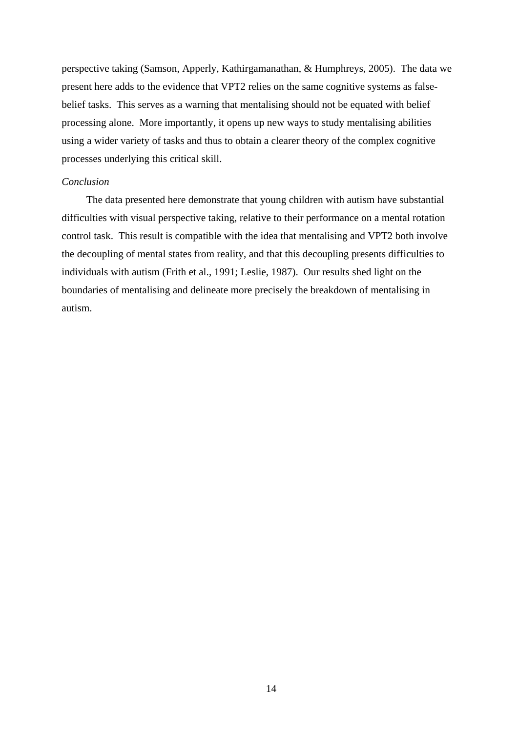perspective taking (Samson, Apperly, Kathirgamanathan, & Humphreys, 2005). The data we present here adds to the evidence that VPT2 relies on the same cognitive systems as falsebelief tasks. This serves as a warning that mentalising should not be equated with belief processing alone. More importantly, it opens up new ways to study mentalising abilities using a wider variety of tasks and thus to obtain a clearer theory of the complex cognitive processes underlying this critical skill.

## *Conclusion*

The data presented here demonstrate that young children with autism have substantial difficulties with visual perspective taking, relative to their performance on a mental rotation control task. This result is compatible with the idea that mentalising and VPT2 both involve the decoupling of mental states from reality, and that this decoupling presents difficulties to individuals with autism (Frith et al., 1991; Leslie, 1987). Our results shed light on the boundaries of mentalising and delineate more precisely the breakdown of mentalising in autism.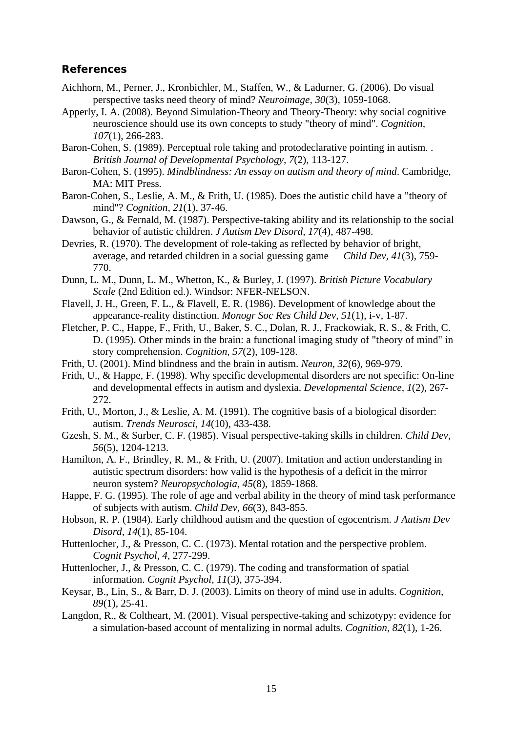# **References**

- Aichhorn, M., Perner, J., Kronbichler, M., Staffen, W., & Ladurner, G. (2006). Do visual perspective tasks need theory of mind? *Neuroimage, 30*(3), 1059-1068.
- Apperly, I. A. (2008). Beyond Simulation-Theory and Theory-Theory: why social cognitive neuroscience should use its own concepts to study "theory of mind". *Cognition, 107*(1), 266-283.
- Baron-Cohen, S. (1989). Perceptual role taking and protodeclarative pointing in autism. . *British Journal of Developmental Psychology, 7*(2), 113-127.
- Baron-Cohen, S. (1995). *Mindblindness: An essay on autism and theory of mind*. Cambridge, MA: MIT Press.
- Baron-Cohen, S., Leslie, A. M., & Frith, U. (1985). Does the autistic child have a "theory of mind"? *Cognition, 21*(1), 37-46.
- Dawson, G., & Fernald, M. (1987). Perspective-taking ability and its relationship to the social behavior of autistic children. *J Autism Dev Disord, 17*(4), 487-498.
- Devries, R. (1970). The development of role-taking as reflected by behavior of bright, average, and retarded children in a social guessing game *Child Dev, 41*(3), 759- 770.
- Dunn, L. M., Dunn, L. M., Whetton, K., & Burley, J. (1997). *British Picture Vocabulary Scale* (2nd Edition ed.). Windsor: NFER-NELSON.
- Flavell, J. H., Green, F. L., & Flavell, E. R. (1986). Development of knowledge about the appearance-reality distinction. *Monogr Soc Res Child Dev, 51*(1), i-v, 1-87.
- Fletcher, P. C., Happe, F., Frith, U., Baker, S. C., Dolan, R. J., Frackowiak, R. S., & Frith, C. D. (1995). Other minds in the brain: a functional imaging study of "theory of mind" in story comprehension. *Cognition, 57*(2), 109-128.
- Frith, U. (2001). Mind blindness and the brain in autism. *Neuron, 32*(6), 969-979.
- Frith, U., & Happe, F. (1998). Why specific developmental disorders are not specific: On-line and developmental effects in autism and dyslexia. *Developmental Science, 1*(2), 267- 272.
- Frith, U., Morton, J., & Leslie, A. M. (1991). The cognitive basis of a biological disorder: autism. *Trends Neurosci, 14*(10), 433-438.
- Gzesh, S. M., & Surber, C. F. (1985). Visual perspective-taking skills in children. *Child Dev, 56*(5), 1204-1213.
- Hamilton, A. F., Brindley, R. M., & Frith, U. (2007). Imitation and action understanding in autistic spectrum disorders: how valid is the hypothesis of a deficit in the mirror neuron system? *Neuropsychologia, 45*(8), 1859-1868.
- Happe, F. G. (1995). The role of age and verbal ability in the theory of mind task performance of subjects with autism. *Child Dev, 66*(3), 843-855.
- Hobson, R. P. (1984). Early childhood autism and the question of egocentrism. *J Autism Dev Disord, 14*(1), 85-104.
- Huttenlocher, J., & Presson, C. C. (1973). Mental rotation and the perspective problem. *Cognit Psychol, 4*, 277-299.
- Huttenlocher, J., & Presson, C. C. (1979). The coding and transformation of spatial information. *Cognit Psychol, 11*(3), 375-394.
- Keysar, B., Lin, S., & Barr, D. J. (2003). Limits on theory of mind use in adults. *Cognition, 89*(1), 25-41.
- Langdon, R., & Coltheart, M. (2001). Visual perspective-taking and schizotypy: evidence for a simulation-based account of mentalizing in normal adults. *Cognition, 82*(1), 1-26.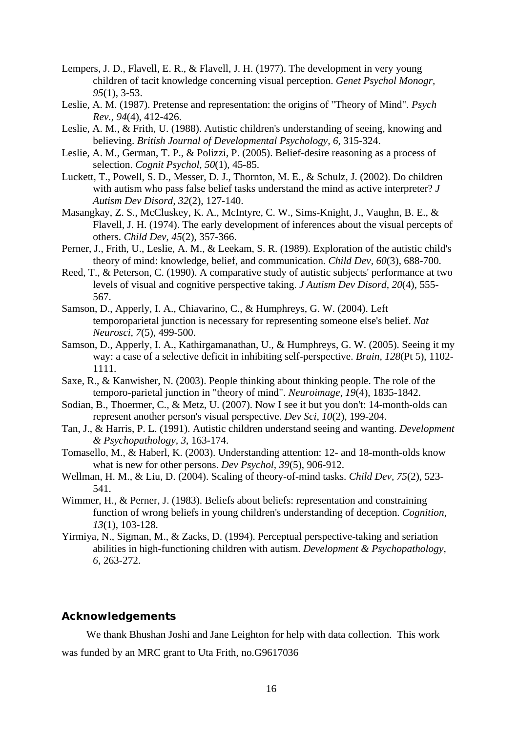- Lempers, J. D., Flavell, E. R., & Flavell, J. H. (1977). The development in very young children of tacit knowledge concerning visual perception. *Genet Psychol Monogr, 95*(1), 3-53.
- Leslie, A. M. (1987). Pretense and representation: the origins of "Theory of Mind". *Psych Rev., 94*(4), 412-426.
- Leslie, A. M., & Frith, U. (1988). Autistic children's understanding of seeing, knowing and believing. *British Journal of Developmental Psychology, 6*, 315-324.
- Leslie, A. M., German, T. P., & Polizzi, P. (2005). Belief-desire reasoning as a process of selection. *Cognit Psychol, 50*(1), 45-85.
- Luckett, T., Powell, S. D., Messer, D. J., Thornton, M. E., & Schulz, J. (2002). Do children with autism who pass false belief tasks understand the mind as active interpreter? *J Autism Dev Disord, 32*(2), 127-140.
- Masangkay, Z. S., McCluskey, K. A., McIntyre, C. W., Sims-Knight, J., Vaughn, B. E., & Flavell, J. H. (1974). The early development of inferences about the visual percepts of others. *Child Dev, 45*(2), 357-366.
- Perner, J., Frith, U., Leslie, A. M., & Leekam, S. R. (1989). Exploration of the autistic child's theory of mind: knowledge, belief, and communication. *Child Dev, 60*(3), 688-700.
- Reed, T., & Peterson, C. (1990). A comparative study of autistic subjects' performance at two levels of visual and cognitive perspective taking. *J Autism Dev Disord, 20*(4), 555- 567.
- Samson, D., Apperly, I. A., Chiavarino, C., & Humphreys, G. W. (2004). Left temporoparietal junction is necessary for representing someone else's belief. *Nat Neurosci, 7*(5), 499-500.
- Samson, D., Apperly, I. A., Kathirgamanathan, U., & Humphreys, G. W. (2005). Seeing it my way: a case of a selective deficit in inhibiting self-perspective. *Brain, 128*(Pt 5), 1102- 1111.
- Saxe, R., & Kanwisher, N. (2003). People thinking about thinking people. The role of the temporo-parietal junction in "theory of mind". *Neuroimage, 19*(4), 1835-1842.
- Sodian, B., Thoermer, C., & Metz, U. (2007). Now I see it but you don't: 14-month-olds can represent another person's visual perspective. *Dev Sci, 10*(2), 199-204.
- Tan, J., & Harris, P. L. (1991). Autistic children understand seeing and wanting. *Development & Psychopathology, 3*, 163-174.
- Tomasello, M., & Haberl, K. (2003). Understanding attention: 12- and 18-month-olds know what is new for other persons. *Dev Psychol, 39*(5), 906-912.
- Wellman, H. M., & Liu, D. (2004). Scaling of theory-of-mind tasks. *Child Dev, 75*(2), 523- 541.
- Wimmer, H., & Perner, J. (1983). Beliefs about beliefs: representation and constraining function of wrong beliefs in young children's understanding of deception. *Cognition, 13*(1), 103-128.
- Yirmiya, N., Sigman, M., & Zacks, D. (1994). Perceptual perspective-taking and seriation abilities in high-functioning children with autism. *Development & Psychopathology, 6*, 263-272.

# **Acknowledgements**

We thank Bhushan Joshi and Jane Leighton for help with data collection. This work was funded by an MRC grant to Uta Frith, no.G9617036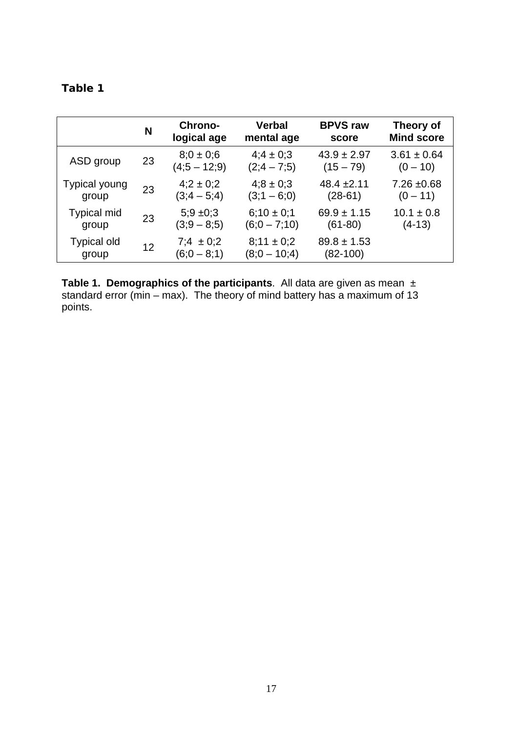# **Table 1**

|                             | N  | <b>Chrono-</b><br>logical age   | <b>Verbal</b><br>mental age        | <b>BPVS raw</b><br>score       | Theory of<br><b>Mind score</b> |
|-----------------------------|----|---------------------------------|------------------------------------|--------------------------------|--------------------------------|
| ASD group                   | 23 | $8:0 \pm 0:6$<br>$(4;5 - 12;9)$ | $4:4 \pm 0:3$<br>$(2;4 - 7;5)$     | $43.9 \pm 2.97$<br>$(15 - 79)$ | $3.61 \pm 0.64$<br>$(0 - 10)$  |
| Typical young<br>group      | 23 | $4:2 \pm 0:2$<br>$(3;4-5;4)$    | $4:8 \pm 0:3$<br>$(3;1 - 6;0)$     | $48.4 \pm 2.11$<br>$(28-61)$   | $7.26 \pm 0.68$<br>$(0 - 11)$  |
| <b>Typical mid</b><br>group | 23 | $5:9 \pm 0:3$<br>$(3;9-8;5)$    | $6:10 \pm 0:1$<br>$(6; 0 - 7; 10)$ | $69.9 \pm 1.15$<br>$(61-80)$   | $10.1 \pm 0.8$<br>$(4-13)$     |
| Typical old<br>group        | 12 | $7:4 \pm 0:2$<br>$(6;0 - 8;1)$  | $8:11 \pm 0:2$<br>$(8;0 - 10;4)$   | $89.8 \pm 1.53$<br>$(82-100)$  |                                |

**Table 1. Demographics of the participants**. All data are given as mean ± standard error (min – max). The theory of mind battery has a maximum of 13 points.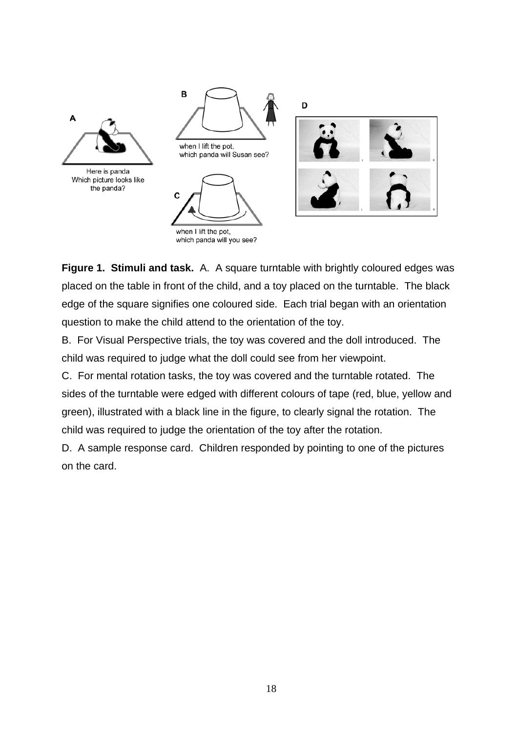

**Figure 1. Stimuli and task.** A. A square turntable with brightly coloured edges was placed on the table in front of the child, and a toy placed on the turntable. The black edge of the square signifies one coloured side. Each trial began with an orientation question to make the child attend to the orientation of the toy.

B. For Visual Perspective trials, the toy was covered and the doll introduced. The child was required to judge what the doll could see from her viewpoint.

C. For mental rotation tasks, the toy was covered and the turntable rotated. The sides of the turntable were edged with different colours of tape (red, blue, yellow and green), illustrated with a black line in the figure, to clearly signal the rotation. The child was required to judge the orientation of the toy after the rotation.

D. A sample response card. Children responded by pointing to one of the pictures on the card.